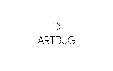

## ARTBUG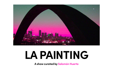**A show curated by Salomón Huerta**





# **LA PAINTING**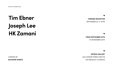## **Tim Ebner Joseph Lee HK Zamani**

#### OPENING RECEPTION

SEPTEMBER 25, 5—8 PM

#### FROM SEPTEMBER 25TH TO NOVEMBER 20TH

#### ARTBUG GALLERY

2441 HUNTER STREET [UNIT B] LOS ANGELES, CA (90023)

CURATED BY SALOMÓN HUERTA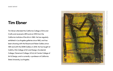Tim Ebner attended the California College of Arts and Crafts and received a BFA and an MFA from the California Institute of the Arts in 1982. He has regularly exhibited in Los Angeles galleries since 1982, and has been showing with the Rosamund Felsen Gallery since 1991 and with the DENK Gallery in 2018. He has taught at CalArts, Otis College of Art and Design, Occidental College, Claremont College, UCLA, Art Center College of Art & Design, and is currently a professor at California State University, Los Angeles.



Metal paintings. Powdercoating on metal.Metal paintings. Powdercoating on metal

#### **Tim Ebner**

**GUEST ARTIST**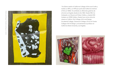Tim Ebner asistió al California College of Arts and Crafts y recibió un BFA y un MFA por parte del California Institute of Arts en 19982. Ha exhibido en diferentes galerías de arte de Los Angeles desde el año 1982. Desde 1991, ha trabajado con Rosamund Felsen Gallery, y desde 2018 trabaja con DENK Gallery. Desde hace varios años da clases en CalArts, Otis Collage of Art and Design, Occidental College, Claremont College, UCLA, Art Center College of Art & Design y actualmente es profesor en California State University, Los Angeles.





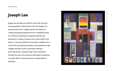Joseph Lee has been an artist for more than 20 years and a graduate of Otis School of Art and Design. His practice stems from collage and the immediacy of cutting and pasting fragments from a mediated world. In his abstract paintings, he explores textures and placement to evoke an idiosyncratic visual rhythm and tempo. In the early 2000's, he was able to exhibit work in LA and NY, showing found posters manipulated through collage and paint marks, eventually creating a scrim-like illusion. Going through various iterations through the years, the embrace of Brutalist architecture currently offers a formal structure to make abstract paintings.



Polylith (slvr pltr). Collage, flashe, oil, texture paste on paper, Polylith (slvr pltr). Collage, flashe, oil, texture paste on paper, 4 x 5 in, 2020. $\overline{\phantom{0}}$  $\times$ S  $\overline{p}$ 2020

## **Joseph Lee**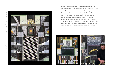

Joseph Lee es artista desde hace más de 20 años, y se graduó de Otis School of Art and Design. Su práctica nace del collage y de la inmediatez de cortar y pegar fragmentos de un mundo mediatizado. En sus pinturas abstractas, explora las texturas y la ubicación de los elementos para evocar desde lo visual un ritmo y un tempo con una idiosincrasia propia. A comienzos de los 2000 participó en exhibiciones tanto en Los Ángeles como en Nueva York. Con diversas iteraciones a lo largo de sus años, el abordaje a la arquitectura Brutalista nos ofrece estructuras formales para la realización de sus pinturas abstractas.



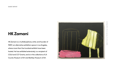HK Zamani is a multidisciplinary artist, and founder of PØST, an alternative exhibition space in Los Angeles, where more than five hundred exhibits have been hosted. He has exhibited extensively, is a recipient of COLA and CCF Grants, and is in the collections of LA County Museum of Art and Berkley Museum of Art.



# Untitled #13. Oil on canvas, 11 x 14 in, 2020 Untitled #13. Oil on canvas, 11 x 14 in, 2020.

#### **HK Zamani**

**GUEST ARTIST**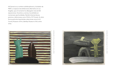HK Zamani es un artista multidisciplinario y fundador de PØST, un espacio de exhibiciones alternativo en Los Angeles, que al momento ha albergado más de 500 exposiciones. Durante su carrera, ha exhibido en numerosas oportunidades. Recibió diversas becas, premios y distinciones como COLA y CCF Grants. Su obra forma parte de importantes colecciones como la LA County Museum of Art y Berkley Museum of Art, entre otras.







Untitled #3. Untitled #3. Oil on canvas, 11 x 14 in, 2021.Oil on canvas, 11 x 14 in, 2021.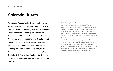Born 1965 in Tijuana, México, Huerta has lived in Los Angeles since the age of 4. After completing a B.F.A. in Illustration at Art Center College of Design in Pasadena, Huerta attended the University of California, Los Angeles for an M.F.A. where he found a mentor in Lari Pittman. Inclusion in the 2000 Whitney Biennial gained Huerta international acclaim. Huerta has exhibited throughout the United States, México and Europe, including: the Austin Museum of Art, Texas; ACME, Los Angeles; Patricia Faure Gallery, Santa Monica, CA; Studio La Città, Verona, Italy; Akademie der Bildenden Künste, Munich, Germany; and Museo de la Ciudad de México.

### **Salomón Huerta**

1965, Tijuana, México. Huerta ha vivido en Los Angeles desde sus cuatro años. Al terminar su B.F.A en el Illustration at Art Center College of Design in Pasadena, asistió a la Universidad de California, Los Angeles, para obtener un M.F.A, donde conoce a Lari Pittman, quien sería a partir de ese momento su mentor. Fue aclamado internacionalmente en la Bienal de Whitney del año 2000. Durante su carrera, Huerta ha exhibido en diversas oportunidades en Estados Unidos, México y Europa. Algunas de las instituciones donde expuso su trabajo son el Austin Museum of Art, Texas; ACME, Los Angeles; Patricia Faure Gallery, Santa Monica, CA; Studio La Città, Verona, Italy; Akademie der Bildenden Künste, Munich, Germany; y el Museo de la Ciudad de México.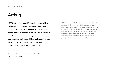ARTBUG is a brand-new, LA-based art gallery with a clear mission: to enhance the visibility of LA-based Latinx artists and curators, through a multi-platform project located in the heart of the Arts District. We aim to host different and diverse voices, formats and pursuits by showcasing projects, exhibitions and events. We want to fill our physical space with the interest and participation of new visitors and collaborators.

## **Artbug**

ARTBUG es un espacio de arte inaugurado recientemente con la misión de potenciar la visibilidad de artistas y curadorxs latinxs a través de un proyecto multiplataforma, ubicado en el corazón del Arts District. Nuestro objetivo es albergar diferentes voces, formatos y búsquedas dando lugar a proyectos, exposiciones y eventos. Queremos colmar nuestro espacio físico de la mano del interés y la participación de nuevxs visitantes y colaboradorxs.

**For more information please contact us at:** INFO@ARTBUG.NET